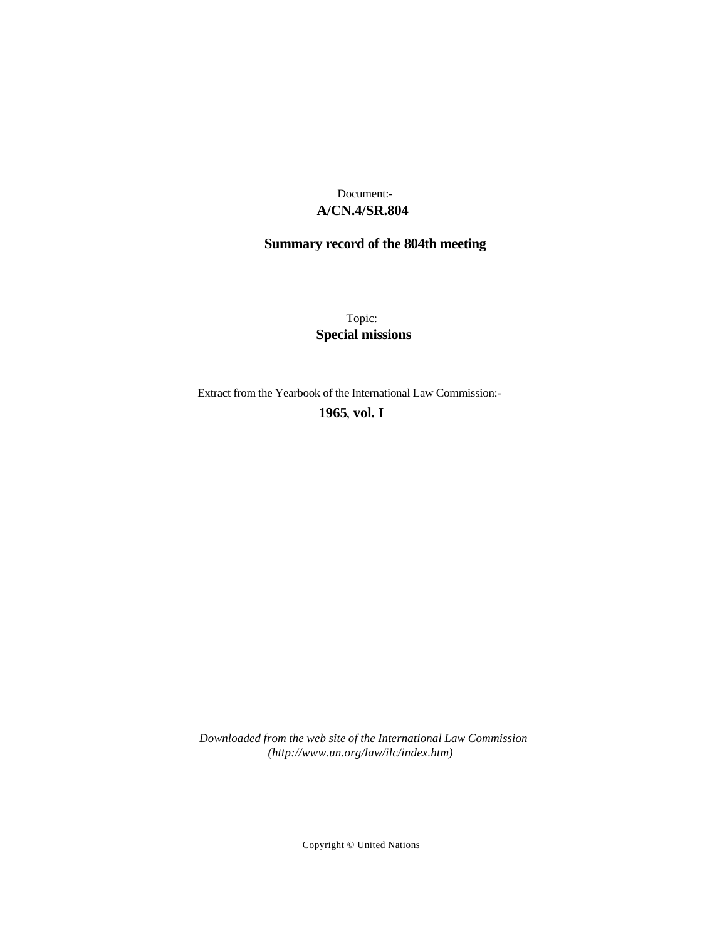## **A/CN.4/SR.804** Document:-

# **Summary record of the 804th meeting**

Topic: **Special missions**

Extract from the Yearbook of the International Law Commission:-

**1965** , **vol. I**

*Downloaded from the web site of the International Law Commission (http://www.un.org/law/ilc/index.htm)*

Copyright © United Nations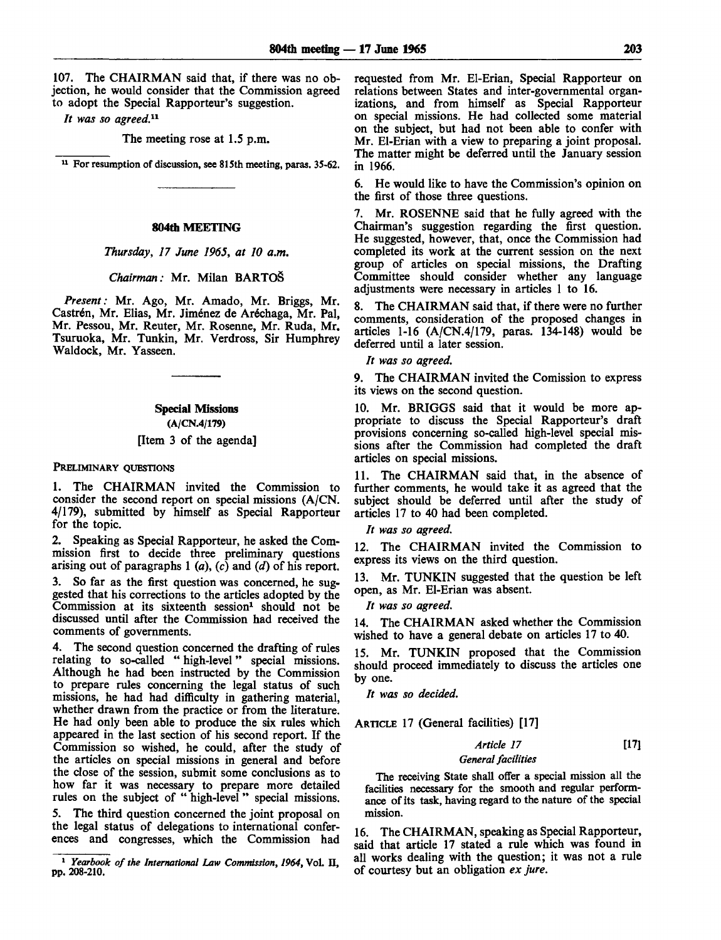107. The CHAIRMAN said that, if there was no objection, he would consider that the Commission agreed to adopt the Special Rapporteur's suggestion.

*It was so agreed.<sup>11</sup>*

The meeting rose at 1.5 p.m.

<sup>11</sup> For resumption of discussion, see 815th meeting, paras. 35-62.

#### **804th MEETING**

*Thursday, 17 June 1965, at 10 a.m.*

#### *Chairman:* Mr. Milan BARTOS

*Present:* Mr. Ago, Mr. Amado, Mr. Briggs, Mr. Castrén, Mr. Elias, Mr. Jiménez de Aréchaga, Mr. Pal, Mr. Pessou, Mr. Reuter, Mr. Rosenne, Mr. Ruda, Mr. Tsuruoka, Mr. Tunkin, Mr. Verdross, Sir Humphrey Waldock, Mr. Yasseen.

#### **Special Missions**

**(A/CN.4/179)**

#### [Item 3 of the agenda]

#### PRELIMINARY OUESTIONS

1. The CHAIRMAN invited the Commission to consider the second report on special missions (A/CN. 4/179), submitted by himself as Special Rapporteur for the topic.

2. Speaking as Special Rapporteur, he asked the Commission first to decide three preliminary questions arising out of paragraphs 1 *(a), (c)* and *(d)* of his report.

3. So far as the first question was concerned, he suggested that his corrections to the articles adopted by the  $Common$  at its sixteenth session<sup>1</sup> should not be discussed until after the Commission had received the comments of governments.

4. The second question concerned the drafting of rules relating to so-called " high-level" special missions. Although he had been instructed by the Commission to prepare rules concerning the legal status of such missions, he had had difficulty in gathering material, whether drawn from the practice or from the literature. He had only been able to produce the six rules which appeared in the last section of his second report. If the Commission so wished, he could, after the study of the articles on special missions in general and before the close of the session, submit some conclusions as to how far it was necessary to prepare more detailed rules on the subject of " high-level" special missions.

The third question concerned the joint proposal on the legal status of delegations to international conferences and congresses, which the Commission had requested from Mr. El-Erian, Special Rapporteur on relations between States and inter-governmental organizations, and from himself as Special Rapporteur on special missions. He had collected some material on the subject, but had not been able to confer with Mr. El-Erian with a view to preparing a joint proposal. The matter might be deferred until the January session in 1966.

6. He would like to have the Commission's opinion on the first of those three questions.

7. Mr. ROSENNE said that he fully agreed with the Chairman's suggestion regarding the first question. He suggested, however, that, once the Commission had completed its work at the current session on the next group of articles on special missions, the Drafting Committee should consider whether any language adjustments were necessary in articles 1 to 16.

8. The CHAIRMAN said that, if there were no further comments, consideration of the proposed changes in articles 1-16 (A/CN.4/179, paras. 134-148) would be deferred until a later session.

*It was so agreed.*

9. The CHAIRMAN invited the Comission to express its views on the second question.

10. Mr. BRIGGS said that it would be more appropriate to discuss the Special Rapporteur's draft provisions concerning so-called high-level special missions after the Commission had completed the draft articles on special missions.

11. The CHAIRMAN said that, in the absence of further comments, he would take it as agreed that the subject should be deferred until after the study of articles 17 to 40 had been completed.

*It was so agreed.*

12. The CHAIRMAN invited the Commission to express its views on the third question.

13. Mr. TUNKIN suggested that the question be left open, as Mr. El-Erian was absent.

*It was so agreed.*

**14.** The CHAIRMAN asked whether the Commission wished to have a general debate on articles 17 to 40.

15. Mr. TUNKIN proposed that the Commission should proceed immediately to discuss the articles one by one.

*It was so decided.*

ARTICLE 17 (General facilities) [17]

*Article 17* [17] *General facilities*

The receiving State shall offer a special mission all the facilities necessary for the smooth and regular performance of its task, having regard to the nature of the special mission.

16. The CHAIRMAN, speaking as Special Rapporteur, said that article 17 stated a rule which was found in all works dealing with the question; it was not a rule of courtesy but an obligation *ex jure.*

<sup>1</sup>  *Yearbook of the International Law Commission, 1964,* Vol. II, **pp. 208-210.**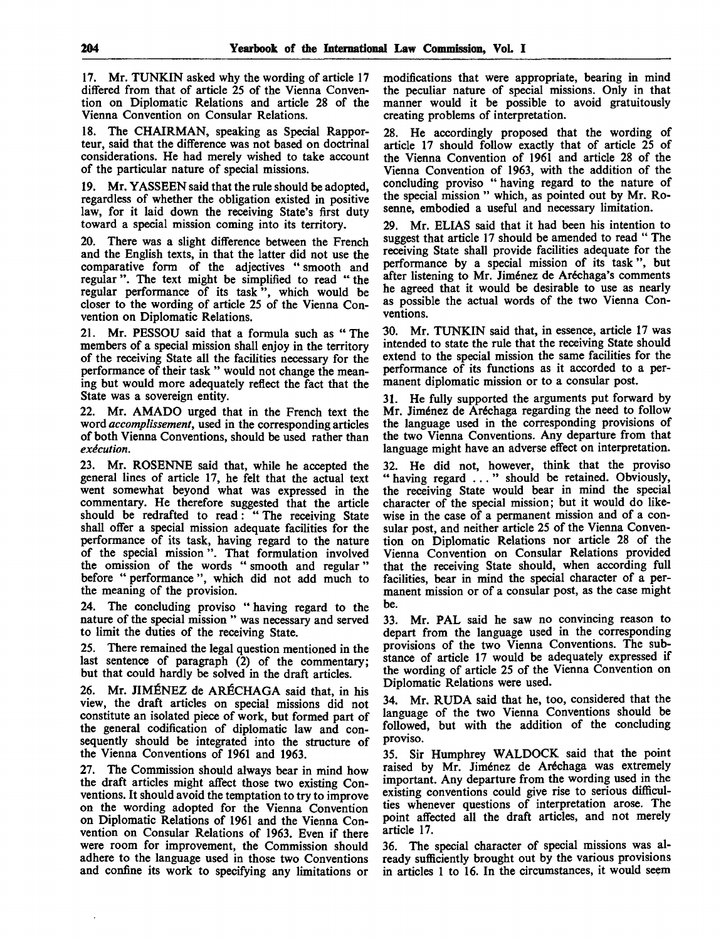17. Mr. TUNKIN asked why the wording of article 17 differed from that of article 25 of the Vienna Convention on Diplomatic Relations and article 28 of the Vienna Convention on Consular Relations.

18. The CHAIRMAN, speaking as Special Rapporteur, said that the difference was not based on doctrinal considerations. He had merely wished to take account of the particular nature of special missions.

19. Mr. YASSEEN said that the rule should be adopted, regardless of whether the obligation existed in positive law, for it laid down the receiving State's first duty toward a special mission coming into its territory.

There was a slight difference between the French and the English texts, in that the latter did not use the comparative form of the adjectives " smooth and regular ". The text might be simplified to read " the regular performance of its task", which would be closer to the wording of article 25 of the Vienna Convention on Diplomatic Relations.

21. Mr. PESSOU said that a formula such as " The members of a special mission shall enjoy in the territory of the receiving State all the facilities necessary for the performance of their task " would not change the meaning but would more adequately reflect the fact that the State was a sovereign entity.

22. Mr. AMADO urged that in the French text the word *accomplissement,* used in the corresponding articles of both Vienna Conventions, should be used rather than *execution.*

23. Mr. ROSENNE said that, while he accepted the general lines of article 17, he felt that the actual text went somewhat beyond what was expressed in the commentary. He therefore suggested that the article should be redrafted to read: " The receiving State shall offer a special mission adequate facilities for the performance of its task, having regard to the nature of the special mission". That formulation involved the omission of the words "smooth and regular" before " performance ", which did not add much to the meaning of the provision.

24. The concluding proviso " having regard to the nature of the special mission " was necessary and served to limit the duties of the receiving State.

25. There remained the legal question mentioned in the last sentence of paragraph (2) of the commentary; but that could hardly be solved in the draft articles.

26. Mr. JIMENEZ de ARECHAGA said that, in his view, the draft articles on special missions did not constitute an isolated piece of work, but formed part of the general codification of diplomatic law and consequently should be integrated into the structure of the Vienna Conventions of 1961 and 1963.

27. The Commission should always bear in mind how the draft articles might affect those two existing Conventions. It should avoid the temptation to try to improve on the wording adopted for the Vienna Convention on Diplomatic Relations of 1961 and the Vienna Convention on Consular Relations of 1963. Even if there were room for improvement, the Commission should adhere to the language used in those two Conventions and confine its work to specifying any limitations or

modifications that were appropriate, bearing in mind the peculiar nature of special missions. Only in that manner would it be possible to avoid gratuitously creating problems of interpretation.

28. He accordingly proposed that the wording of article 17 should follow exactly that of article 25 of the Vienna Convention of 1961 and article 28 of the Vienna Convention of 1963, with the addition of the concluding proviso " having regard to the nature of the special mission " which, as pointed out by Mr. Rosenne, embodied a useful and necessary limitation.

29. Mr. ELIAS said that it had been his intention to suggest that article 17 should be amended to read " The receiving State shall provide facilities adequate for the performance by a special mission of its task", but after listening to Mr. Jiménez de Aréchaga's comments he agreed that it would be desirable to use as nearly as possible the actual words of the two Vienna Conventions.

30. Mr. TUNKIN said that, in essence, article 17 was intended to state the rule that the receiving State should extend to the special mission the same facilities for the performance of its functions as it accorded to a permanent diplomatic mission or to a consular post.

31. He fully supported the arguments put forward by Mr. Jiménez de Aréchaga regarding the need to follow the language used in the corresponding provisions of the two Vienna Conventions. Any departure from that language might have an adverse effect on interpretation.

32. He did not, however, think that the proviso " having regard ... " should be retained. Obviously, the receiving State would bear in mind the special character of the special mission; but it would do likewise in the case of a permanent mission and of a consular post, and neither article 25 of the Vienna Convention on Diplomatic Relations nor article 28 of the Vienna Convention on Consular Relations provided that the receiving State should, when according full facilities, bear in mind the special character of a permanent mission or of a consular post, as the case might be.

33. Mr. PAL said he saw no convincing reason to depart from the language used in the corresponding provisions of the two Vienna Conventions. The substance of article 17 would be adequately expressed if the wording of article 25 of the Vienna Convention on Diplomatic Relations were used.

34. Mr. RUDA said that he, too, considered that the language of the two Vienna Conventions should be followed, but with the addition of the concluding proviso.

35. Sir Humphrey WALDOCK said that the point raised by Mr. Jiménez de Aréchaga was extremely important. Any departure from the wording used in the existing conventions could give rise to serious difficulties whenever questions of interpretation arose. The point affected all the draft articles, and not merely article 17.

36. The special character of special missions was already sufficiently brought out by the various provisions in articles 1 to 16. In the circumstances, it would seem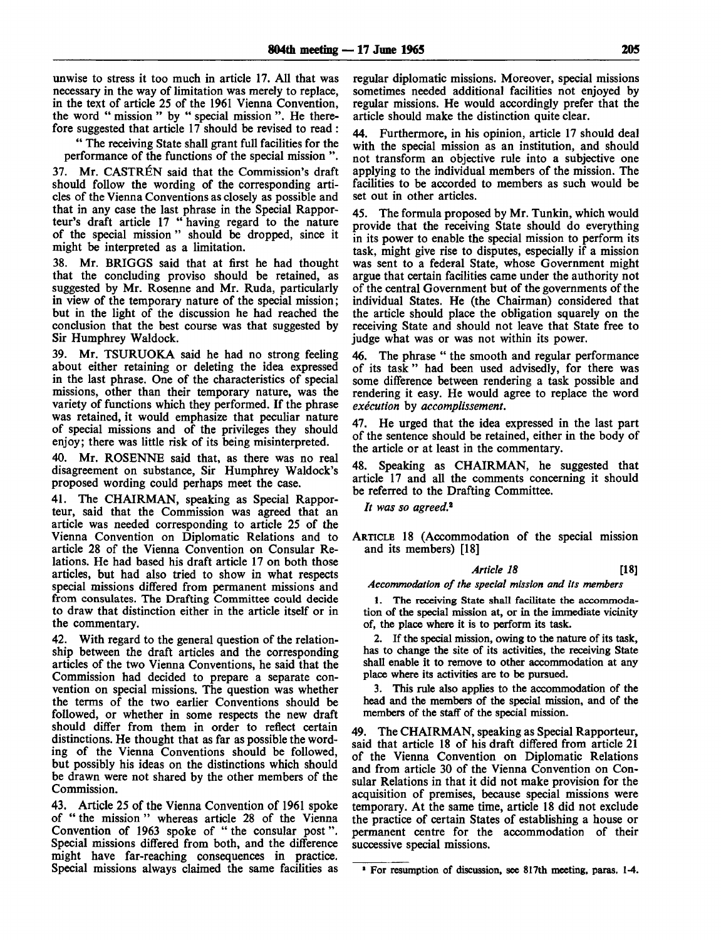unwise to stress it too much in article 17. All that was necessary in the way of limitation was merely to replace, in the text of article 25 of the 1961 Vienna Convention, the word " mission " by " special mission ". He therefore suggested that article 17 should be revised to read :

" The receiving State shall grant full facilities for the performance of the functions of the special mission ".

37. Mr. CASTREN said that the Commission's draft should follow the wording of the corresponding articles of the Vienna Conventions as closely as possible and that in any case the last phrase in the Special Rapporteur's draft article 17 " having regard to the nature of the special mission " should be dropped, since it might be interpreted as a limitation.

38. Mr. BRIGGS said that at first he had thought that the concluding proviso should be retained, as suggested by Mr. Rosenne and Mr. Ruda, particularly in view of the temporary nature of the special mission; but in the light of the discussion he had reached the conclusion that the best course was that suggested by Sir Humphrey Waldock.

39. Mr. TSURUOKA said he had no strong feeling about either retaining or deleting the idea expressed in the last phrase. One of the characteristics of special missions, other than their temporary nature, was the variety of functions which they performed. If the phrase was retained, it would emphasize that peculiar nature of special missions and of the privileges they should enjoy; there was little risk of its being misinterpreted.

40. Mr. ROSENNE said that, as there was no real disagreement on substance, Sir Humphrey Waldock's proposed wording could perhaps meet the case.

41. The CHAIRMAN, speaking as Special Rapporteur, said that the Commission was agreed that an article was needed corresponding to article 25 of the Vienna Convention on Diplomatic Relations and to article 28 of the Vienna Convention on Consular Relations. He had based his draft article 17 on both those articles, but had also tried to show in what respects special missions differed from permanent missions and from consulates. The Drafting Committee could decide to draw that distinction either in the article itself or in the commentary.

42. With regard to the general question of the relationship between the draft articles and the corresponding articles of the two Vienna Conventions, he said that the Commission had decided to prepare a separate convention on special missions. The question was whether the terms of the two earlier Conventions should be followed, or whether in some respects the new draft should differ from them in order to reflect certain distinctions. He thought that as far as possible the wording of the Vienna Conventions should be followed, but possibly his ideas on the distinctions which should be drawn were not shared by the other members of the Commission.

43. Article 25 of the Vienna Convention of 1961 spoke of " the mission " whereas article 28 of the Vienna Convention of 1963 spoke of " the consular post". Special missions differed from both, and the difference might have far-reaching consequences in practice. Special missions always claimed the same facilities as

regular diplomatic missions. Moreover, special missions sometimes needed additional facilities not enjoyed by regular missions. He would accordingly prefer that the article should make the distinction quite clear.

44. Furthermore, in his opinion, article 17 should deal with the special mission as an institution, and should not transform an objective rule into a subjective one applying to the individual members of the mission. The facilities to be accorded to members as such would be set out in other articles.

45. The formula proposed by Mr. Tunkin, which would provide that the receiving State should do everything in its power to enable the special mission to perform its task, might give rise to disputes, especially if a mission was sent to a federal State, whose Government might argue that certain facilities came under the authority not of the central Government but of the governments of the individual States. He (the Chairman) considered that the article should place the obligation squarely on the receiving State and should not leave that State free to judge what was or was not within its power.

46. The phrase " the smooth and regular performance of its task " had been used advisedly, for there was some difference between rendering a task possible and rendering it easy. He would agree to replace the word *execution* by *accomplissement.*

47. He urged that the idea expressed in the last part of the sentence should be retained, either in the body of the article or at least in the commentary.

48. Speaking as CHAIRMAN, he suggested that article 17 and all the comments concerning it should be referred to the Drafting Committee.

*It was so agreed.<sup>2</sup>*

ARTICLE 18 (Accommodation of the special mission and its members) [18]

### *Article 18* [18]

*Accommodation of the special mission and its members*

1. The receiving State shall facilitate the accommodation of the special mission at, or in the immediate vicinity of, the place where it is to perform its task.

2. If the special mission, owing to the nature of its task, has to change the site of its activities, the receiving State shall enable it to remove to other accommodation at any place where its activities are to be pursued.

3. This rule also applies to the accommodation of the head and the members of the special mission, and of the members of the staff of the special mission.

49. The CHAIRMAN, speaking as Special Rapporteur, said that article 18 of his draft differed from article 21 of the Vienna Convention on Diplomatic Relations and from article 30 of the Vienna Convention on Consular Relations in that it did not make provision for the acquisition of premises, because special missions were temporary. At the same time, article 18 did not exclude the practice of certain States of establishing a house or permanent centre for the accommodation of their successive special missions.

For resumption of discussion, see 817th meeting, paras. 1-4.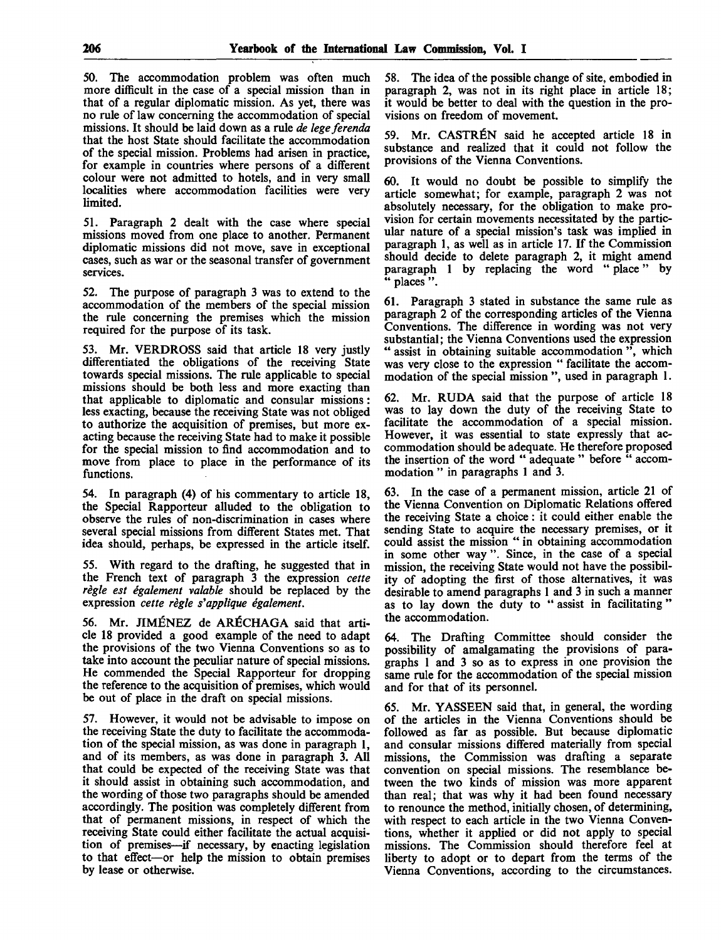50. The accommodation problem was often much more difficult in the case of a special mission than in that of a regular diplomatic mission. As yet, there was no rule of law concerning the accommodation of special missions. It should be laid down as a rule *de legeferenda* that the host State should facilitate the accommodation of the special mission. Problems had arisen in practice, for example in countries where persons of a different colour were not admitted to hotels, and in very small localities where accommodation facilities were very limited.

51. Paragraph 2 dealt with the case where special missions moved from one place to another. Permanent diplomatic missions did not move, save in exceptional cases, such as war or the seasonal transfer of government services.

52. The purpose of paragraph 3 was to extend to the accommodation of the members of the special mission the rule concerning the premises which the mission required for the purpose of its task.

53. Mr. VERDROSS said that article 18 very justly differentiated the obligations of the receiving State towards special missions. The rule applicable to special missions should be both less and more exacting than that applicable to diplomatic and consular missions: less exacting, because the receiving State was not obliged to authorize the acquisition of premises, but more exacting because the receiving State had to make it possible for the special mission to find accommodation and to move from place to place in the performance of its functions.

54. In paragraph (4) of his commentary to article 18, the Special Rapporteur alluded to the obligation to observe the rules of non-discrimination in cases where several special missions from different States met. That idea should, perhaps, be expressed in the article itself.

55. With regard to the drafting, he suggested that in the French text of paragraph 3 the expression *cette regie est egalement valable* should be replaced by the expression *cette regie s'applique egalement.*

56. Mr. JIMENEZ de ARECHAGA said that article 18 provided a good example of the need to adapt the provisions of the two Vienna Conventions so as to take into account the peculiar nature of special missions. He commended the Special Rapporteur for dropping the reference to the acquisition of premises, which would be out of place in the draft on special missions.

57. However, it would not be advisable to impose on the receiving State the duty to facilitate the accommodation of the special mission, as was done in paragraph 1, and of its members, as was done in paragraph 3. All that could be expected of the receiving State was that it should assist in obtaining such accommodation, and the wording of those two paragraphs should be amended accordingly. The position was completely different from that of permanent missions, in respect of which the receiving State could either facilitate the actual acquisition of premises—if necessary, by enacting legislation to that effect—or help the mission to obtain premises by lease or otherwise.

58. The idea of the possible change of site, embodied in paragraph 2, was not in its right place in article 18; it would be better to deal with the question in the provisions on freedom of movement.

59. Mr. CASTREN said he accepted article 18 in substance and realized that it could not follow the provisions of the Vienna Conventions.

60. It would no doubt be possible to simplify the article somewhat; for example, paragraph 2 was not absolutely necessary, for the obligation to make provision for certain movements necessitated by the particular nature of a special mission's task was implied in paragraph 1, as well as in article 17. If the Commission should decide to delete paragraph 2, it might amend paragraph 1 by replacing the word " place" by " places".

61. Paragraph 3 stated in substance the same rule as paragraph 2 of the corresponding articles of the Vienna Conventions. The difference in wording was not very substantial; the Vienna Conventions used the expression " assist in obtaining suitable accommodation ", which was very close to the expression " facilitate the accommodation of the special mission ", used in paragraph 1.

62. Mr. RUDA said that the purpose of article 18 was to lay down the duty of the receiving State to facilitate the accommodation of a special mission. However, it was essential to state expressly that accommodation should be adequate. He therefore proposed the insertion of the word " adequate " before " accommodation " in paragraphs 1 and 3.

63. In the case of a permanent mission, article 21 of the Vienna Convention on Diplomatic Relations offered the receiving State a choice: it could either enable the sending State to acquire the necessary premises, or it could assist the mission " in obtaining accommodation in some other way ". Since, in the case of a special mission, the receiving State would not have the possibility of adopting the first of those alternatives, it was desirable to amend paragraphs 1 and 3 in such a manner as to lay down the duty to " assist in facilitating " the accommodation.

64. The Drafting Committee should consider the possibility of amalgamating the provisions of paragraphs 1 and 3 so as to express in one provision the same rule for the accommodation of the special mission and for that of its personnel.

65. Mr. YASSEEN said that, in general, the wording of the articles in the Vienna Conventions should be followed as far as possible. But because diplomatic and consular missions differed materially from special missions, the Commission was drafting a separate convention on special missions. The resemblance between the two kinds of mission was more apparent than real; that was why it had been found necessary to renounce the method, initially chosen, of determining, with respect to each article in the two Vienna Conventions, whether it applied or did not apply to special missions. The Commission should therefore feel at liberty to adopt or to depart from the terms of the Vienna Conventions, according to the circumstances.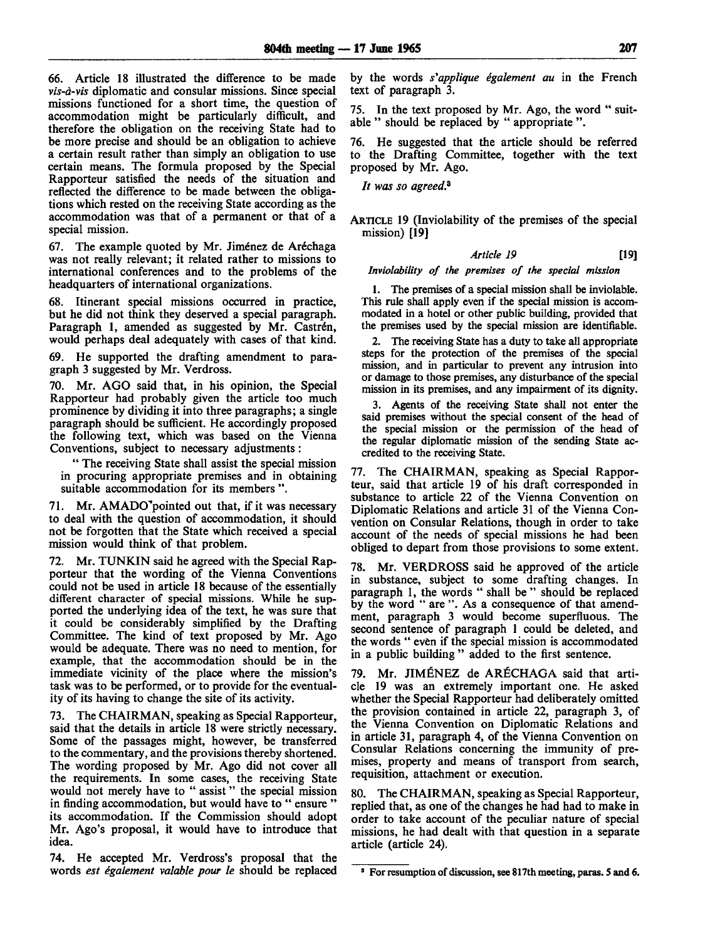66. Article 18 illustrated the difference to be made *vis-d-vis* diplomatic and consular missions. Since special missions functioned for a short time, the question of accommodation might be particularly difficult, and therefore the obligation on the receiving State had to be more precise and should be an obligation to achieve a certain result rather than simply an obligation to use certain means. The formula proposed by the Special Rapporteur satisfied the needs of the situation and reflected the difference to be made between the obligations which rested on the receiving State according as the accommodation was that of a permanent or that of a special mission.

67. The example quoted by Mr. Jiménez de Aréchaga was not really relevant; it related rather to missions to international conferences and to the problems of the headquarters of international organizations.

68. Itinerant special missions occurred in practice, but he did not think they deserved a special paragraph. Paragraph 1, amended as suggested by Mr. Castrén, would perhaps deal adequately with cases of that kind.

69. He supported the drafting amendment to paragraph 3 suggested by Mr. Verdross.

70. Mr. AGO said that, in his opinion, the Special Rapporteur had probably given the article too much prominence by dividing it into three paragraphs; a single paragraph should be sufficient. He accordingly proposed the following text, which was based on the Vienna Conventions, subject to necessary adjustments:

" The receiving State shall assist the special mission in procuring appropriate premises and in obtaining suitable accommodation for its members ".

71. Mr. AMADO<sup>T</sup> pointed out that, if it was necessary to deal with the question of accommodation, it should not be forgotten that the State which received a special mission would think of that problem.

72. Mr. TUNKIN said he agreed with the Special Rapporteur that the wording of the Vienna Conventions could not be used in article 18 because of the essentially different character of special missions. While he supported the underlying idea of the text, he was sure that it could be considerably simplified by the Drafting Committee. The kind of text proposed by Mr. Ago would be adequate. There was no need to mention, for example, that the accommodation should be in the immediate vicinity of the place where the mission's task was to be performed, or to provide for the eventuality of its having to change the site of its activity.

73. The CHAIRMAN, speaking as Special Rapporteur, said that the details in article 18 were strictly necessary. Some of the passages might, however, be transferred to the commentary, and the provisions thereby shortened. The wording proposed by Mr. Ago did not cover all the requirements. In some cases, the receiving State would not merely have to " assist" the special mission in finding accommodation, but would have to " ensure " its accommodation. If the Commission should adopt Mr. Ago's proposal, it would have to introduce that idea.

74. He accepted Mr. Verdross's proposal that the words *est egalement valable pour le* should be replaced by the words *s'applique egalement au* in the French text of paragraph 3.

75. In the text proposed by Mr. Ago, the word " suitable " should be replaced by " appropriate ".

76. He suggested that the article should be referred to the Drafting Committee, together with the text proposed by Mr. Ago.

*It was so agreed.<sup>3</sup>*

ARTICLE 19 (Inviolability of the premises of the special mission) [19]

#### *Article 19* [19]

#### *Inviolability of the premises of the special mission*

1. The premises of a special mission shall be inviolable. This rule shall apply even if the special mission is accommodated in a hotel or other public building, provided that the premises used by the special mission are identifiable.

2. The receiving State has a duty to take all appropriate steps for the protection of the premises of the special mission, and in particular to prevent any intrusion into or damage to those premises, any disturbance of the special mission in its premises, and any impairment of its dignity.

3. Agents of the receiving State shall not enter the said premises without the special consent of the head of the special mission or the permission of the head of the regular diplomatic mission of the sending State accredited to the receiving State.

77. The CHAIRMAN, speaking as Special Rapporteur, said that article 19 of his draft corresponded in substance to article 22 of the Vienna Convention on Diplomatic Relations and article 31 of the Vienna Convention on Consular Relations, though in order to take account of the needs of special missions he had been obliged to depart from those provisions to some extent.

78. Mr. VERDROSS said he approved of the article in substance, subject to some drafting changes. In paragraph 1, the words " shall be " should be replaced by the word " are ". As a consequence of that amendment, paragraph 3 would become superfluous. The second sentence of paragraph 1 could be deleted, and the words " even if the special mission is accommodated in a public building " added to the first sentence.

79. Mr. JIMÉNEZ de ARÉCHAGA said that article 19 was an extremely important one. He asked whether the Special Rapporteur had deliberately omitted the provision contained in article 22, paragraph 3, of the Vienna Convention on Diplomatic Relations and in article 31, paragraph 4, of the Vienna Convention on Consular Relations concerning the immunity of premises, property and means of transport from search, requisition, attachment or execution.

80. The CHAIRMAN, speaking as Special Rapporteur, replied that, as one of the changes he had had to make in order to take account of the peculiar nature of special missions, he had dealt with that question in a separate article (article 24).

<sup>8</sup> For resumption of discussion, see 817th meeting, paras. 5 and 6.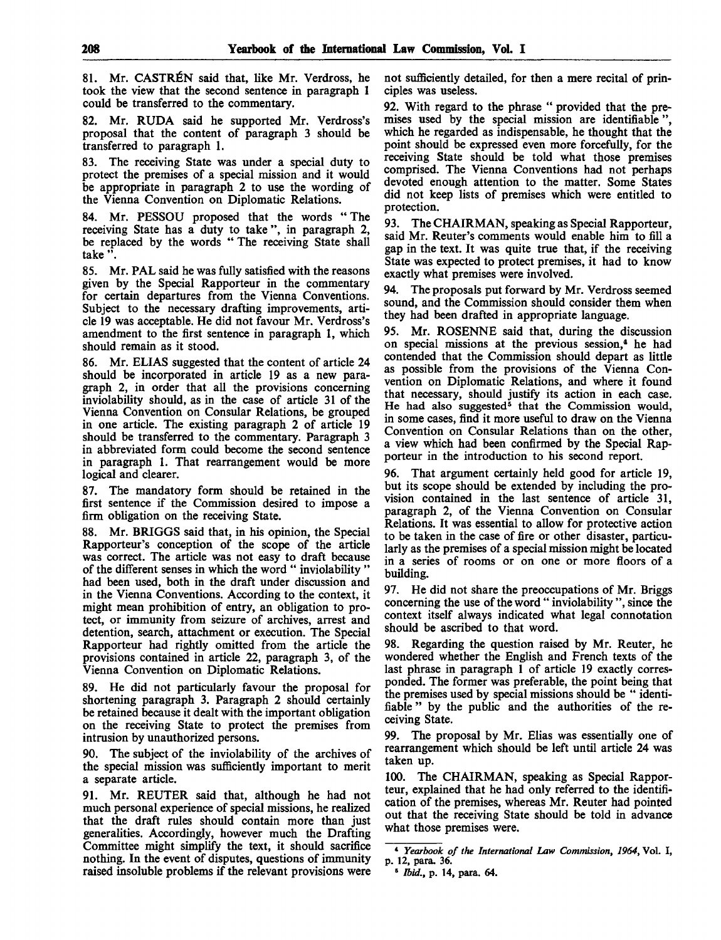81. Mr. CASTRÉN said that, like Mr. Verdross, he took the view that the second sentence in paragraph 1 could be transferred to the commentary.

82. Mr. RUDA said he supported Mr. Verdross's proposal that the content of paragraph 3 should be transferred to paragraph 1.

83. The receiving State was under a special duty to protect the premises of a special mission and it would be appropriate in paragraph 2 to use the wording of the Vienna Convention on Diplomatic Relations.

84. Mr. PESSOU proposed that the words "The receiving State has a duty to take ", in paragraph 2, be replaced by the words " The receiving State shall take ".

85. Mr. PAL said he was fully satisfied with the reasons given by the Special Rapporteur in the commentary for certain departures from the Vienna Conventions. Subject to the necessary drafting improvements, article 19 was acceptable. He did not favour Mr. Verdross's amendment to the first sentence in paragraph 1, which should remain as it stood.

86. Mr. ELIAS suggested that the content of article 24 should be incorporated in article 19 as a new paragraph 2, in order that all the provisions concerning inviolability should, as in the case of article 31 of the Vienna Convention on Consular Relations, be grouped in one article. The existing paragraph 2 of article 19 should be transferred to the commentary. Paragraph 3 in abbreviated form could become the second sentence in paragraph 1. That rearrangement would be more logical and clearer.

87. The mandatory form should be retained in the first sentence if the Commission desired to impose a firm obligation on the receiving State.

88. Mr. BRIGGS said that, in his opinion, the Special Rapporteur's conception of the scope of the article was correct. The article was not easy to draft because of the different senses in which the word " inviolability " had been used, both in the draft under discussion and in the Vienna Conventions. According to the context, it might mean prohibition of entry, an obligation to protect, or immunity from seizure of archives, arrest and detention, search, attachment or execution. The Special Rapporteur had rightly omitted from the article the provisions contained in article 22, paragraph 3, of the Vienna Convention on Diplomatic Relations.

89. He did not particularly favour the proposal for shortening paragraph 3. Paragraph 2 should certainly be retained because it dealt with the important obligation on the receiving State to protect the premises from intrusion by unauthorized persons.

90. The subject of the inviolability of the archives of the special mission was sufficiently important to merit a separate article.

91. Mr. REUTER said that, although he had not much personal experience of special missions, he realized that the draft rules should contain more than just generalities. Accordingly, however much the Drafting Committee might simplify the text, it should sacrifice nothing. In the event of disputes, questions of immunity raised insoluble problems if the relevant provisions were not sufficiently detailed, for then a mere recital of principles was useless.

92. With regard to the phrase " provided that the premises used by the special mission are identifiable which he regarded as indispensable, he thought that the point should be expressed even more forcefully, for the receiving State should be told what those premises comprised. The Vienna Conventions had not perhaps devoted enough attention to the matter. Some States did not keep lists of premises which were entitled to protection.

93. The CHAIRMAN, speaking as Special Rapporteur, said Mr. Reuter's comments would enable him to fill a gap in the text. It was quite true that, if the receiving State was expected to protect premises, it had to know exactly what premises were involved.

94. The proposals put forward by Mr. Verdross seemed sound, and the Commission should consider them when they had been drafted in appropriate language.

95. Mr. ROSENNE said that, during the discussion on special missions at the previous session,<sup>4</sup> he had contended that the Commission should depart as little as possible from the provisions of the Vienna Convention on Diplomatic Relations, and where it found that necessary, should justify its action in each case. He had also suggested<sup>5</sup> that the Commission would, in some cases, find it more useful to draw on the Vienna Convention on Consular Relations than on the other, a view which had been confirmed by the Special Rapporteur in the introduction to his second report.

96. That argument certainly held good for article 19, but its scope should be extended by including the provision contained in the last sentence of article 31, paragraph 2, of the Vienna Convention on Consular Relations. It was essential to allow for protective action to be taken in the case of fire or other disaster, particularly as the premises of a special mission might be located in a series of rooms or on one or more floors of a building.

97. He did not share the preoccupations of Mr. Briggs concerning the use of the word " inviolability ", since the context itself always indicated what legal connotation should be ascribed to that word.

98. Regarding the question raised by Mr. Reuter, he wondered whether the English and French texts of the last phrase in paragraph 1 of article 19 exactly corresponded. The former was preferable, the point being that the premises used by special missions should be " identifiable " by the public and the authorities of the receiving State.

99. The proposal by Mr. Elias was essentially one of rearrangement which should be left until article 24 was taken up.

100. The CHAIRMAN, speaking as Special Rapporteur, explained that he had only referred to the identification of the premises, whereas Mr. Reuter had pointed out that the receiving State should be told in advance what those premises were.

<sup>4</sup>  *Yearbook of the International Law Commission, 1964,* Vol. I, p. 12, para. 36.

<sup>5</sup>  *Ibid.,* p. 14, para. 64.